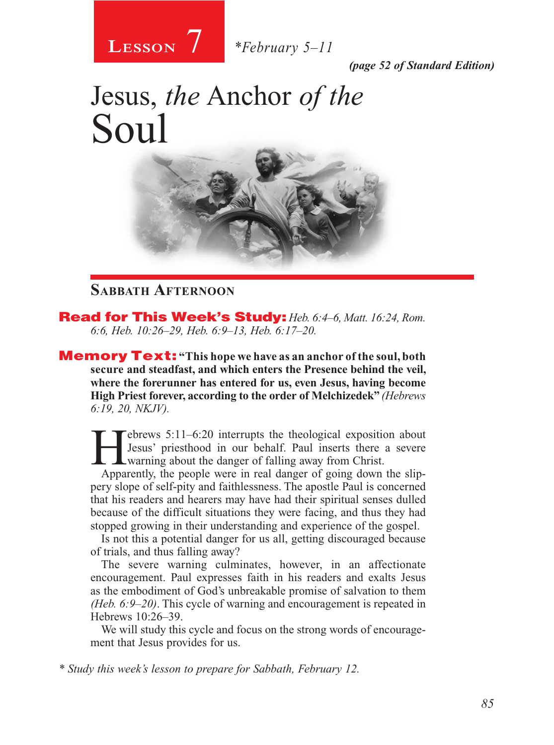

*(page 52 of Standard Edition)*

# Jesus, *the* Anchor *of the* Soul



### **Sabbath Afternoon**

Read for This Week's Study: *Heb. 6:4–6, Matt. 16:24, Rom. 6:6, Heb. 10:26–29, Heb. 6:9–13, Heb. 6:17–20.*

Memory Text: **"This hope we have as an anchor of the soul, both secure and steadfast, and which enters the Presence behind the veil, where the forerunner has entered for us, even Jesus, having become High Priest forever, according to the order of Melchizedek"** *(Hebrews 6:19, 20, NKJV).*

 $T$ ebrews  $5:11-6:20$  interrupts the theological exposition about Jesus' priesthood in our behalf. Paul inserts there a severe warning about the danger of falling away from Christ.

Apparently, the people were in real danger of going down the slippery slope of self-pity and faithlessness. The apostle Paul is concerned that his readers and hearers may have had their spiritual senses dulled because of the difficult situations they were facing, and thus they had stopped growing in their understanding and experience of the gospel.

Is not this a potential danger for us all, getting discouraged because of trials, and thus falling away?

The severe warning culminates, however, in an affectionate encouragement. Paul expresses faith in his readers and exalts Jesus as the embodiment of God's unbreakable promise of salvation to them *(Heb. 6:9–20)*. This cycle of warning and encouragement is repeated in Hebrews 10:26–39.

We will study this cycle and focus on the strong words of encouragement that Jesus provides for us.

*\* Study this week's lesson to prepare for Sabbath, February 12.*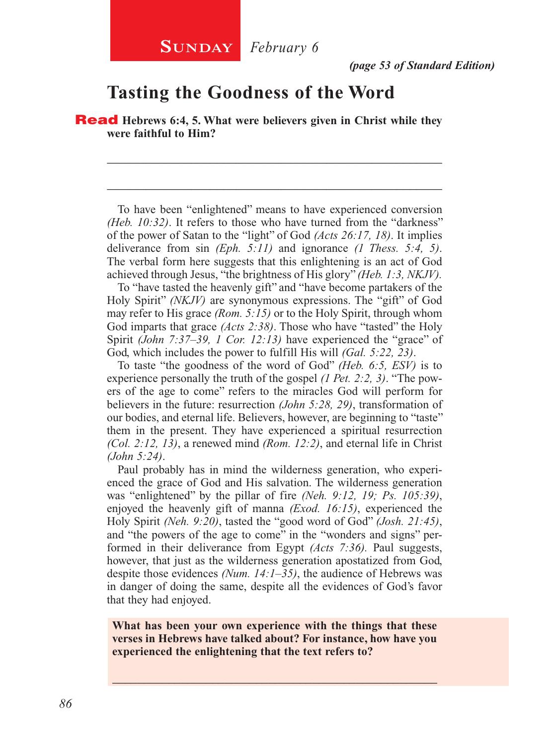## **Tasting the Goodness of the Word**

Read **Hebrews 6:4, 5. What were believers given in Christ while they were faithful to Him?**

To have been "enlightened" means to have experienced conversion *(Heb. 10:32)*. It refers to those who have turned from the "darkness" of the power of Satan to the "light" of God *(Acts 26:17, 18)*. It implies deliverance from sin *(Eph. 5:11)* and ignorance *(1 Thess. 5:4, 5)*. The verbal form here suggests that this enlightening is an act of God achieved through Jesus, "the brightness of His glory" *(Heb. 1:3, NKJV).* 

\_\_\_\_\_\_\_\_\_\_\_\_\_\_\_\_\_\_\_\_\_\_\_\_\_\_\_\_\_\_\_\_\_\_\_\_\_\_\_\_\_\_\_\_\_\_\_\_\_\_\_\_

\_\_\_\_\_\_\_\_\_\_\_\_\_\_\_\_\_\_\_\_\_\_\_\_\_\_\_\_\_\_\_\_\_\_\_\_\_\_\_\_\_\_\_\_\_\_\_\_\_\_\_\_

To "have tasted the heavenly gift" and "have become partakers of the Holy Spirit" *(NKJV)* are synonymous expressions. The "gift" of God may refer to His grace *(Rom. 5:15)* or to the Holy Spirit, through whom God imparts that grace *(Acts 2:38)*. Those who have "tasted" the Holy Spirit *(John 7:37–39, 1 Cor. 12:13)* have experienced the "grace" of God, which includes the power to fulfill His will *(Gal. 5:22, 23)*.

To taste "the goodness of the word of God" *(Heb. 6:5, ESV)* is to experience personally the truth of the gospel *(1 Pet. 2:2, 3)*. "The powers of the age to come" refers to the miracles God will perform for believers in the future: resurrection *(John 5:28, 29)*, transformation of our bodies, and eternal life. Believers, however, are beginning to "taste" them in the present. They have experienced a spiritual resurrection *(Col. 2:12, 13)*, a renewed mind *(Rom. 12:2)*, and eternal life in Christ *(John 5:24)*.

Paul probably has in mind the wilderness generation, who experienced the grace of God and His salvation. The wilderness generation was "enlightened" by the pillar of fire *(Neh. 9:12, 19; Ps. 105:39)*, enjoyed the heavenly gift of manna *(Exod. 16:15)*, experienced the Holy Spirit *(Neh. 9:20)*, tasted the "good word of God" *(Josh. 21:45)*, and "the powers of the age to come" in the "wonders and signs" performed in their deliverance from Egypt *(Acts 7:36).* Paul suggests, however, that just as the wilderness generation apostatized from God, despite those evidences *(Num. 14:1–35)*, the audience of Hebrews was in danger of doing the same, despite all the evidences of God's favor that they had enjoyed.

**What has been your own experience with the things that these verses in Hebrews have talked about? For instance, how have you experienced the enlightening that the text refers to?**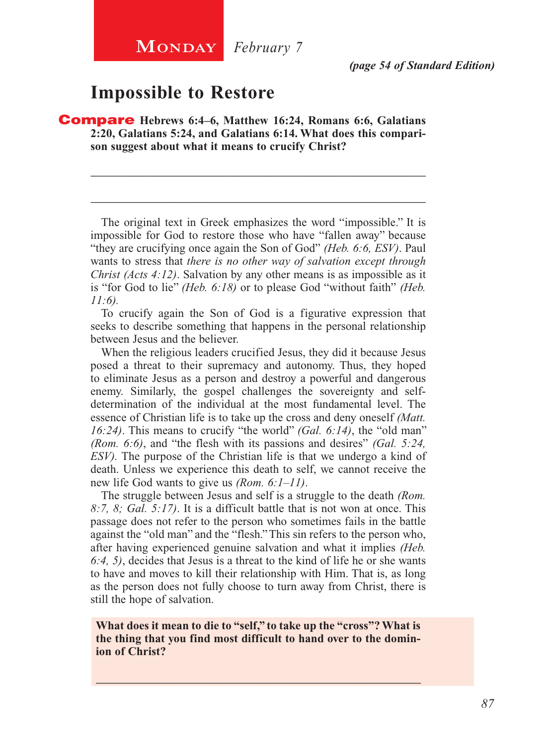**MONDAY** *February* 7

*(page 54 of Standard Edition)*

## **Impossible to Restore**

Compare **Hebrews 6:4–6, Matthew 16:24, Romans 6:6, Galatians 2:20, Galatians 5:24, and Galatians 6:14. What does this comparison suggest about what it means to crucify Christ?**

The original text in Greek emphasizes the word "impossible." It is impossible for God to restore those who have "fallen away" because "they are crucifying once again the Son of God" *(Heb. 6:6, ESV)*. Paul wants to stress that *there is no other way of salvation except through Christ (Acts 4:12)*. Salvation by any other means is as impossible as it is "for God to lie" *(Heb. 6:18)* or to please God "without faith" *(Heb. 11:6).*

\_\_\_\_\_\_\_\_\_\_\_\_\_\_\_\_\_\_\_\_\_\_\_\_\_\_\_\_\_\_\_\_\_\_\_\_\_\_\_\_\_\_\_\_\_\_\_\_\_\_\_\_

\_\_\_\_\_\_\_\_\_\_\_\_\_\_\_\_\_\_\_\_\_\_\_\_\_\_\_\_\_\_\_\_\_\_\_\_\_\_\_\_\_\_\_\_\_\_\_\_\_\_\_\_

To crucify again the Son of God is a figurative expression that seeks to describe something that happens in the personal relationship between Jesus and the believer.

When the religious leaders crucified Jesus, they did it because Jesus posed a threat to their supremacy and autonomy. Thus, they hoped to eliminate Jesus as a person and destroy a powerful and dangerous enemy. Similarly, the gospel challenges the sovereignty and selfdetermination of the individual at the most fundamental level. The essence of Christian life is to take up the cross and deny oneself *(Matt. 16:24)*. This means to crucify "the world" *(Gal. 6:14)*, the "old man" *(Rom. 6:6)*, and "the flesh with its passions and desires" *(Gal. 5:24, ESV).* The purpose of the Christian life is that we undergo a kind of death. Unless we experience this death to self, we cannot receive the new life God wants to give us *(Rom. 6:1–11)*.

The struggle between Jesus and self is a struggle to the death *(Rom. 8:7, 8; Gal. 5:17)*. It is a difficult battle that is not won at once. This passage does not refer to the person who sometimes fails in the battle against the "old man" and the "flesh." This sin refers to the person who, after having experienced genuine salvation and what it implies *(Heb. 6:4, 5)*, decides that Jesus is a threat to the kind of life he or she wants to have and moves to kill their relationship with Him. That is, as long as the person does not fully choose to turn away from Christ, there is still the hope of salvation.

**What does it mean to die to "self," to take up the "cross"? What is the thing that you find most difficult to hand over to the dominion of Christ?**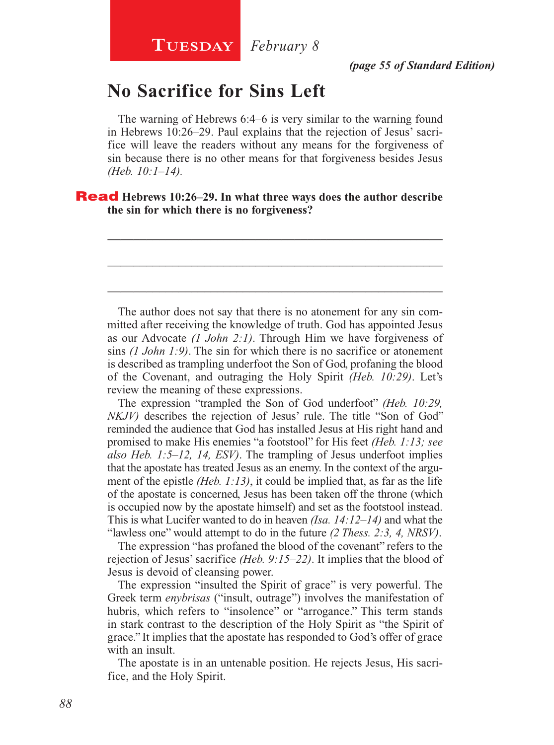## **No Sacrifice for Sins Left**

The warning of Hebrews 6:4–6 is very similar to the warning found in Hebrews 10:26–29. Paul explains that the rejection of Jesus' sacrifice will leave the readers without any means for the forgiveness of sin because there is no other means for that forgiveness besides Jesus *(Heb. 10:1–14).*

\_\_\_\_\_\_\_\_\_\_\_\_\_\_\_\_\_\_\_\_\_\_\_\_\_\_\_\_\_\_\_\_\_\_\_\_\_\_\_\_\_\_\_\_\_\_\_\_\_\_\_\_

\_\_\_\_\_\_\_\_\_\_\_\_\_\_\_\_\_\_\_\_\_\_\_\_\_\_\_\_\_\_\_\_\_\_\_\_\_\_\_\_\_\_\_\_\_\_\_\_\_\_\_\_

\_\_\_\_\_\_\_\_\_\_\_\_\_\_\_\_\_\_\_\_\_\_\_\_\_\_\_\_\_\_\_\_\_\_\_\_\_\_\_\_\_\_\_\_\_\_\_\_\_\_\_\_

#### Read **Hebrews 10:26–29. In what three ways does the author describe the sin for which there is no forgiveness?**

The author does not say that there is no atonement for any sin committed after receiving the knowledge of truth. God has appointed Jesus as our Advocate *(1 John 2:1)*. Through Him we have forgiveness of sins *(1 John 1:9)*. The sin for which there is no sacrifice or atonement is described as trampling underfoot the Son of God, profaning the blood of the Covenant, and outraging the Holy Spirit *(Heb. 10:29)*. Let's review the meaning of these expressions.

The expression "trampled the Son of God underfoot" *(Heb. 10:29, NKJV*) describes the rejection of Jesus' rule. The title "Son of God" reminded the audience that God has installed Jesus at His right hand and promised to make His enemies "a footstool" for His feet *(Heb. 1:13; see also Heb. 1:5–12, 14, ESV)*. The trampling of Jesus underfoot implies that the apostate has treated Jesus as an enemy. In the context of the argument of the epistle *(Heb. 1:13)*, it could be implied that, as far as the life of the apostate is concerned, Jesus has been taken off the throne (which is occupied now by the apostate himself) and set as the footstool instead. This is what Lucifer wanted to do in heaven *(Isa. 14:12–14)* and what the "lawless one" would attempt to do in the future *(2 Thess. 2:3, 4, NRSV)*.

The expression "has profaned the blood of the covenant" refers to the rejection of Jesus' sacrifice *(Heb. 9:15–22)*. It implies that the blood of Jesus is devoid of cleansing power.

The expression "insulted the Spirit of grace" is very powerful. The Greek term *enybrisas* ("insult, outrage") involves the manifestation of hubris, which refers to "insolence" or "arrogance." This term stands in stark contrast to the description of the Holy Spirit as "the Spirit of grace." It implies that the apostate has responded to God's offer of grace with an insult.

The apostate is in an untenable position. He rejects Jesus, His sacrifice, and the Holy Spirit.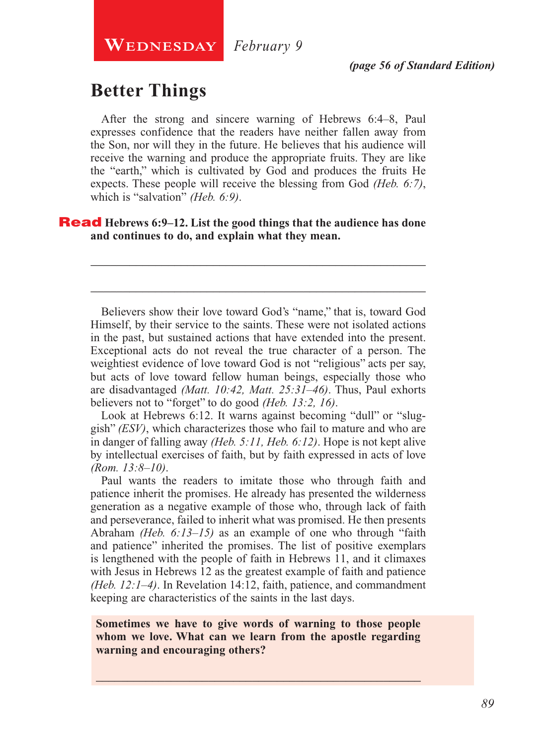*(page 56 of Standard Edition)*

## **Better Things**

After the strong and sincere warning of Hebrews 6:4–8, Paul expresses confidence that the readers have neither fallen away from the Son, nor will they in the future. He believes that his audience will receive the warning and produce the appropriate fruits. They are like the "earth," which is cultivated by God and produces the fruits He expects. These people will receive the blessing from God *(Heb. 6:7)*, which is "salvation" *(Heb. 6:9)*.

Read **Hebrews 6:9–12. List the good things that the audience has done and continues to do, and explain what they mean.**

Believers show their love toward God's "name," that is, toward God Himself, by their service to the saints. These were not isolated actions in the past, but sustained actions that have extended into the present. Exceptional acts do not reveal the true character of a person. The weightiest evidence of love toward God is not "religious" acts per say, but acts of love toward fellow human beings, especially those who are disadvantaged *(Matt. 10:42, Matt. 25:31–46)*. Thus, Paul exhorts believers not to "forget" to do good *(Heb. 13:2, 16)*.

\_\_\_\_\_\_\_\_\_\_\_\_\_\_\_\_\_\_\_\_\_\_\_\_\_\_\_\_\_\_\_\_\_\_\_\_\_\_\_\_\_\_\_\_\_\_\_\_\_\_\_\_

\_\_\_\_\_\_\_\_\_\_\_\_\_\_\_\_\_\_\_\_\_\_\_\_\_\_\_\_\_\_\_\_\_\_\_\_\_\_\_\_\_\_\_\_\_\_\_\_\_\_\_\_

Look at Hebrews 6:12. It warns against becoming "dull" or "sluggish" *(ESV)*, which characterizes those who fail to mature and who are in danger of falling away *(Heb. 5:11, Heb. 6:12)*. Hope is not kept alive by intellectual exercises of faith, but by faith expressed in acts of love *(Rom. 13:8–10)*.

Paul wants the readers to imitate those who through faith and patience inherit the promises. He already has presented the wilderness generation as a negative example of those who, through lack of faith and perseverance, failed to inherit what was promised. He then presents Abraham *(Heb. 6:13–15)* as an example of one who through "faith and patience" inherited the promises. The list of positive exemplars is lengthened with the people of faith in Hebrews 11, and it climaxes with Jesus in Hebrews 12 as the greatest example of faith and patience *(Heb. 12:1–4)*. In Revelation 14:12, faith, patience, and commandment keeping are characteristics of the saints in the last days.

**Sometimes we have to give words of warning to those people whom we love. What can we learn from the apostle regarding warning and encouraging others?**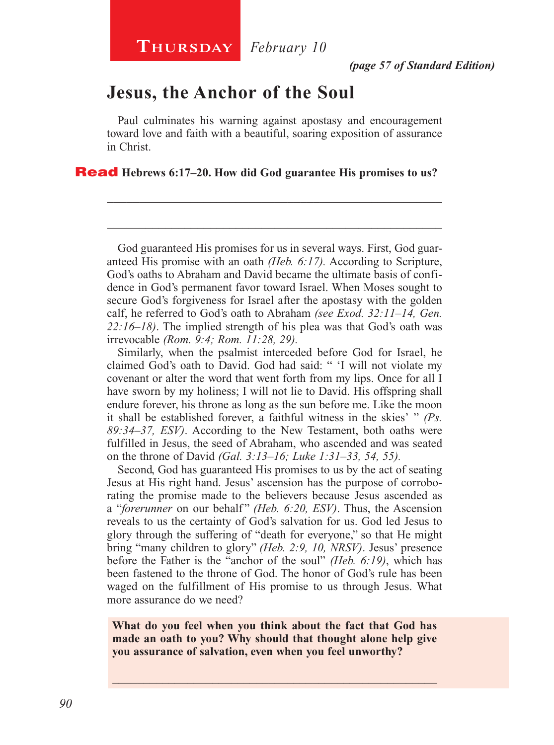## **Jesus, the Anchor of the Soul**

Paul culminates his warning against apostasy and encouragement toward love and faith with a beautiful, soaring exposition of assurance in Christ.

\_\_\_\_\_\_\_\_\_\_\_\_\_\_\_\_\_\_\_\_\_\_\_\_\_\_\_\_\_\_\_\_\_\_\_\_\_\_\_\_\_\_\_\_\_\_\_\_\_\_\_\_

\_\_\_\_\_\_\_\_\_\_\_\_\_\_\_\_\_\_\_\_\_\_\_\_\_\_\_\_\_\_\_\_\_\_\_\_\_\_\_\_\_\_\_\_\_\_\_\_\_\_\_\_

#### Read **Hebrews 6:17–20. How did God guarantee His promises to us?**

God guaranteed His promises for us in several ways. First, God guaranteed His promise with an oath *(Heb. 6:17).* According to Scripture, God's oaths to Abraham and David became the ultimate basis of confidence in God's permanent favor toward Israel. When Moses sought to secure God's forgiveness for Israel after the apostasy with the golden calf, he referred to God's oath to Abraham *(see Exod. 32:11–14, Gen. 22:16–18)*. The implied strength of his plea was that God's oath was irrevocable *(Rom. 9:4; Rom. 11:28, 29).*

Similarly, when the psalmist interceded before God for Israel, he claimed God's oath to David. God had said: " 'I will not violate my covenant or alter the word that went forth from my lips. Once for all I have sworn by my holiness; I will not lie to David. His offspring shall endure forever, his throne as long as the sun before me. Like the moon it shall be established forever, a faithful witness in the skies' " *(Ps. 89:34–37, ESV)*. According to the New Testament, both oaths were fulfilled in Jesus, the seed of Abraham, who ascended and was seated on the throne of David *(Gal. 3:13–16; Luke 1:31–33, 54, 55).*

Second, God has guaranteed His promises to us by the act of seating Jesus at His right hand. Jesus' ascension has the purpose of corroborating the promise made to the believers because Jesus ascended as a "*forerunner* on our behalf" *(Heb. 6:20, ESV)*. Thus, the Ascension reveals to us the certainty of God's salvation for us. God led Jesus to glory through the suffering of "death for everyone," so that He might bring "many children to glory" *(Heb. 2:9, 10, NRSV)*. Jesus' presence before the Father is the "anchor of the soul" *(Heb. 6:19)*, which has been fastened to the throne of God. The honor of God's rule has been waged on the fulfillment of His promise to us through Jesus. What more assurance do we need?

**What do you feel when you think about the fact that God has made an oath to you? Why should that thought alone help give you assurance of salvation, even when you feel unworthy?**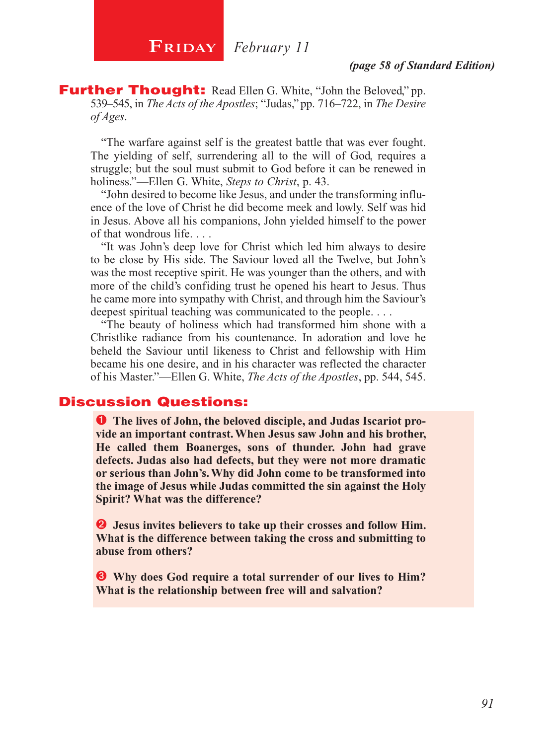#### *(page 58 of Standard Edition)*

**Further Thought:** Read Ellen G. White, "John the Beloved," pp. 539–545, in *The Acts of the Apostles*; "Judas," pp. 716–722, in *The Desire of Ages*.

"The warfare against self is the greatest battle that was ever fought. The yielding of self, surrendering all to the will of God, requires a struggle; but the soul must submit to God before it can be renewed in holiness."—Ellen G. White, *Steps to Christ*, p. 43.

"John desired to become like Jesus, and under the transforming influence of the love of Christ he did become meek and lowly. Self was hid in Jesus. Above all his companions, John yielded himself to the power of that wondrous life. . . .

"It was John's deep love for Christ which led him always to desire to be close by His side. The Saviour loved all the Twelve, but John's was the most receptive spirit. He was younger than the others, and with more of the child's confiding trust he opened his heart to Jesus. Thus he came more into sympathy with Christ, and through him the Saviour's deepest spiritual teaching was communicated to the people. . . .

"The beauty of holiness which had transformed him shone with a Christlike radiance from his countenance. In adoration and love he beheld the Saviour until likeness to Christ and fellowship with Him became his one desire, and in his character was reflected the character of his Master."—Ellen G. White, *The Acts of the Apostles*, pp. 544, 545.

#### Discussion Questions:

**O** The lives of John, the beloved disciple, and Judas Iscariot pro**vide an important contrast. When Jesus saw John and his brother, He called them Boanerges, sons of thunder. John had grave defects. Judas also had defects, but they were not more dramatic or serious than John's. Why did John come to be transformed into the image of Jesus while Judas committed the sin against the Holy Spirit? What was the difference?**

 **Jesus invites believers to take up their crosses and follow Him. What is the difference between taking the cross and submitting to abuse from others?**

 **Why does God require a total surrender of our lives to Him? What is the relationship between free will and salvation?**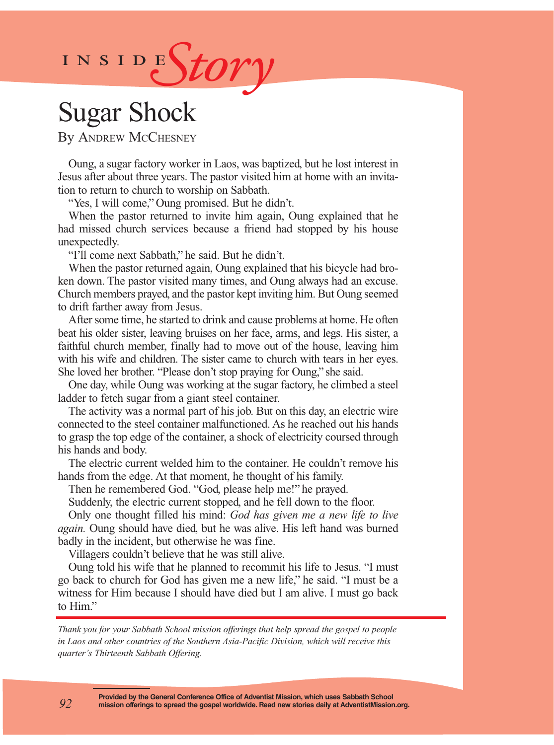

## Sugar Shock

By Andrew McChesney

Oung, a sugar factory worker in Laos, was baptized, but he lost interest in Jesus after about three years. The pastor visited him at home with an invitation to return to church to worship on Sabbath.

"Yes, I will come," Oung promised. But he didn't.

When the pastor returned to invite him again, Oung explained that he had missed church services because a friend had stopped by his house unexpectedly.

"I'll come next Sabbath," he said. But he didn't.

When the pastor returned again, Oung explained that his bicycle had broken down. The pastor visited many times, and Oung always had an excuse. Church members prayed, and the pastor kept inviting him. But Oung seemed to drift farther away from Jesus.

After some time, he started to drink and cause problems at home. He often beat his older sister, leaving bruises on her face, arms, and legs. His sister, a faithful church member, finally had to move out of the house, leaving him with his wife and children. The sister came to church with tears in her eyes. She loved her brother. "Please don't stop praying for Oung," she said.

One day, while Oung was working at the sugar factory, he climbed a steel ladder to fetch sugar from a giant steel container.

The activity was a normal part of his job. But on this day, an electric wire connected to the steel container malfunctioned. As he reached out his hands to grasp the top edge of the container, a shock of electricity coursed through his hands and body.

The electric current welded him to the container. He couldn't remove his hands from the edge. At that moment, he thought of his family.

Then he remembered God. "God, please help me!" he prayed.

Suddenly, the electric current stopped, and he fell down to the floor.

Only one thought filled his mind: *God has given me a new life to live again.* Oung should have died, but he was alive. His left hand was burned badly in the incident, but otherwise he was fine.

Villagers couldn't believe that he was still alive.

Oung told his wife that he planned to recommit his life to Jesus. "I must go back to church for God has given me a new life," he said. "I must be a witness for Him because I should have died but I am alive. I must go back to Him."

*Thank you for your Sabbath School mission offerings that help spread the gospel to people in Laos and other countries of the Southern Asia-Pacific Division, which will receive this quarter's Thirteenth Sabbath Offering.*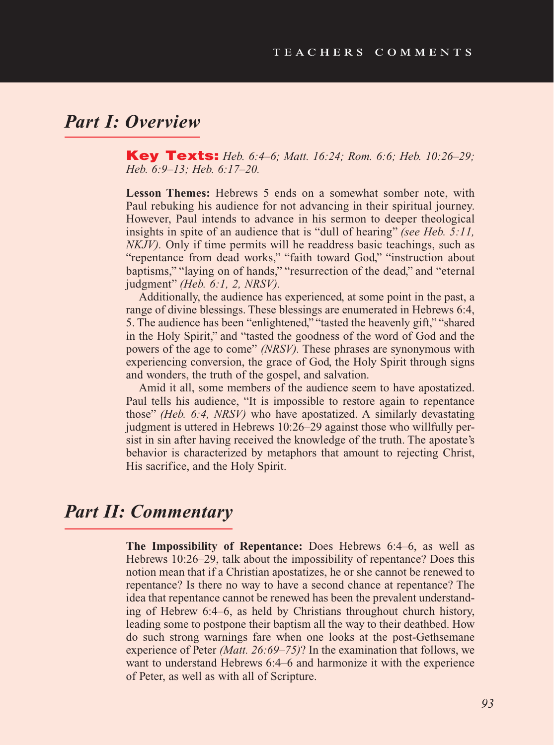## *Part I: Overview*

Key Texts: *Heb. 6:4–6; Matt. 16:24; Rom. 6:6; Heb. 10:26–29; Heb. 6:9–13; Heb. 6:17–20.*

**Lesson Themes:** Hebrews 5 ends on a somewhat somber note, with Paul rebuking his audience for not advancing in their spiritual journey. However, Paul intends to advance in his sermon to deeper theological insights in spite of an audience that is "dull of hearing" *(see Heb. 5:11, in spite 3.11, in spite 3.11, in spite 3.11, in spite 3.11, in spite 3.11, in spite 3.11, in spite 3.11, in spite 3.11, in spite 3.11, in spite 3. NKJV*). Only if time permits will he readdress basic teachings, such as "repentance from dead works," "faith toward God," "instruction about baptisms," "laying on of hands," "resurrection of the dead," and "eternal judgment" *(Heb. 6:1, 2, NRSV).*

Additionally, the audience has experienced, at some point in the past, a range of divine blessings. These blessings are enumerated in Hebrews 6:4, 5. The audience has been "enlightened," "tasted the heavenly gift," "shared in the Holy Spirit," and "tasted the goodness of the word of God and the powers of the age to come" *(NRSV).* These phrases are synonymous with experiencing conversion, the grace of God, the Holy Spirit through signs and wonders, the truth of the gospel, and salvation.

Amid it all, some members of the audience seem to have apostatized. Paul tells his audience, "It is impossible to restore again to repentance those" *(Heb. 6:4, NRSV)* who have apostatized. A similarly devastating judgment is uttered in Hebrews 10:26–29 against those who willfully persist in sin after having received the knowledge of the truth. The apostate's behavior is characterized by metaphors that amount to rejecting Christ, His sacrifice, and the Holy Spirit.

## *Part II: Commentary*

**The Impossibility of Repentance:** Does Hebrews 6:4–6, as well as Hebrews 10:26–29, talk about the impossibility of repentance? Does this notion mean that if a Christian apostatizes, he or she cannot be renewed to repentance? Is there no way to have a second chance at repentance? The idea that repentance cannot be renewed has been the prevalent understanding of Hebrew 6:4–6, as held by Christians throughout church history, leading some to postpone their baptism all the way to their deathbed. How do such strong warnings fare when one looks at the post-Gethsemane experience of Peter *(Matt. 26:69–75)*? In the examination that follows, we want to understand Hebrews 6:4–6 and harmonize it with the experience of Peter, as well as with all of Scripture.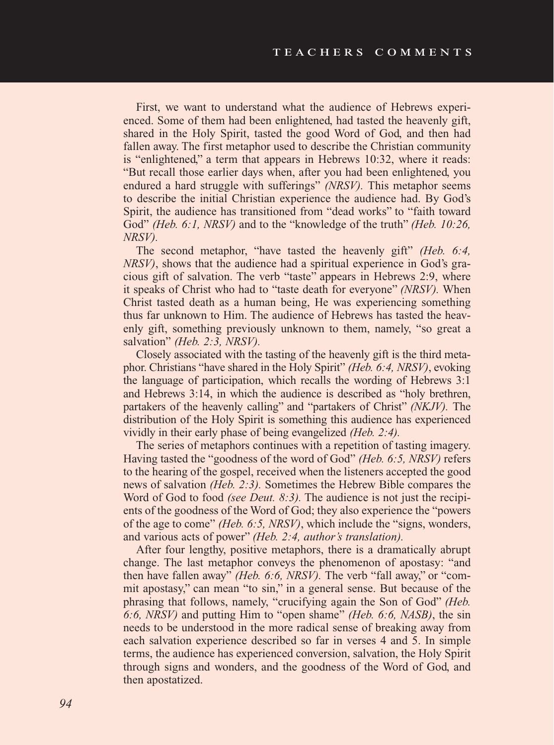First, we want to understand what the audience of Hebrews experienced. Some of them had been enlightened, had tasted the heavenly gift, shared in the Holy Spirit, tasted the good Word of God, and then had fallen away. The first metaphor used to describe the Christian community is "enlightened," a term that appears in Hebrews 10:32, where it reads: "But recall those earlier days when, after you had been enlightened, you endured a hard struggle with sufferings" *(NRSV).* This metaphor seems to describe the initial Christian experience the audience had. By God's Spirit, the audience has transitioned from "dead works" to "faith toward God" *(Heb. 6:1, NRSV)* and to the "knowledge of the truth" *(Heb. 10:26, NRSV).*

The second metaphor, "have tasted the heavenly gift" *(Heb. 6:4, NRSV)*, shows that the audience had a spiritual experience in God's gracious gift of salvation. The verb "taste" appears in Hebrews 2:9, where it speaks of Christ who had to "taste death for everyone" *(NRSV).* When Christ tasted death as a human being, He was experiencing something thus far unknown to Him. The audience of Hebrews has tasted the heavenly gift, something previously unknown to them, namely, "so great a salvation" *(Heb. 2:3, NRSV).*

Closely associated with the tasting of the heavenly gift is the third metaphor. Christians "have shared in the Holy Spirit" *(Heb. 6:4, NRSV)*, evoking the language of participation, which recalls the wording of Hebrews 3:1 and Hebrews 3:14, in which the audience is described as "holy brethren, partakers of the heavenly calling" and "partakers of Christ" *(NKJV).* The distribution of the Holy Spirit is something this audience has experienced vividly in their early phase of being evangelized *(Heb. 2:4).*

The series of metaphors continues with a repetition of tasting imagery. Having tasted the "goodness of the word of God" *(Heb. 6:5, NRSV)* refers to the hearing of the gospel, received when the listeners accepted the good news of salvation *(Heb. 2:3).* Sometimes the Hebrew Bible compares the Word of God to food *(see Deut. 8:3).* The audience is not just the recipients of the goodness of the Word of God; they also experience the "powers of the age to come" *(Heb. 6:5, NRSV)*, which include the "signs, wonders, and various acts of power" *(Heb. 2:4, author's translation).*

After four lengthy, positive metaphors, there is a dramatically abrupt change. The last metaphor conveys the phenomenon of apostasy: "and then have fallen away" *(Heb. 6:6, NRSV).* The verb "fall away," or "commit apostasy," can mean "to sin," in a general sense. But because of the phrasing that follows, namely, "crucifying again the Son of God" *(Heb. 6:6, NRSV)* and putting Him to "open shame" *(Heb. 6:6, NASB)*, the sin needs to be understood in the more radical sense of breaking away from each salvation experience described so far in verses 4 and 5. In simple terms, the audience has experienced conversion, salvation, the Holy Spirit through signs and wonders, and the goodness of the Word of God, and then apostatized.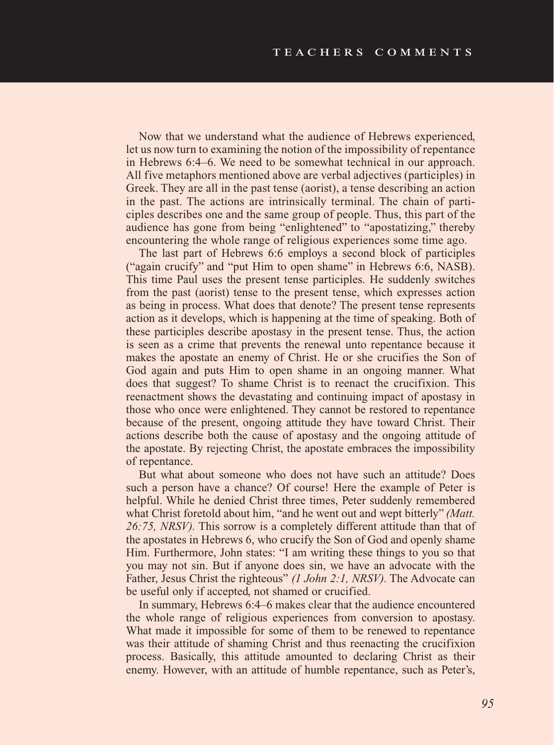Now that we understand what the audience of Hebrews experienced, let us now turn to examining the notion of the impossibility of repentance in Hebrews 6:4–6. We need to be somewhat technical in our approach. All five metaphors mentioned above are verbal adjectives (participles) in Greek. They are all in the past tense (aorist), a tense describing an action in the past. The actions are intrinsically terminal. The chain of participles describes one and the same group of people. Thus, this part of the audience has gone from being "enlightened" to "apostatizing," thereby encountering the whole range of religious experiences some time ago.

The last part of Hebrews 6:6 employs a second block of participles ("again crucify" and "put Him to open shame" in Hebrews 6:6, NASB). This time Paul uses the present tense participles. He suddenly switches from the past (aorist) tense to the present tense, which expresses action as being in process. What does that denote? The present tense represents action as it develops, which is happening at the time of speaking. Both of these participles describe apostasy in the present tense. Thus, the action is seen as a crime that prevents the renewal unto repentance because it makes the apostate an enemy of Christ. He or she crucifies the Son of God again and puts Him to open shame in an ongoing manner. What does that suggest? To shame Christ is to reenact the crucifixion. This reenactment shows the devastating and continuing impact of apostasy in those who once were enlightened. They cannot be restored to repentance because of the present, ongoing attitude they have toward Christ. Their actions describe both the cause of apostasy and the ongoing attitude of the apostate. By rejecting Christ, the apostate embraces the impossibility of repentance.

But what about someone who does not have such an attitude? Does such a person have a chance? Of course! Here the example of Peter is helpful. While he denied Christ three times, Peter suddenly remembered what Christ foretold about him, "and he went out and wept bitterly" *(Matt. 26:75, NRSV).* This sorrow is a completely different attitude than that of the apostates in Hebrews 6, who crucify the Son of God and openly shame Him. Furthermore, John states: "I am writing these things to you so that you may not sin. But if anyone does sin, we have an advocate with the Father, Jesus Christ the righteous" *(1 John 2:1, NRSV).* The Advocate can be useful only if accepted, not shamed or crucified.

In summary, Hebrews 6:4–6 makes clear that the audience encountered the whole range of religious experiences from conversion to apostasy. What made it impossible for some of them to be renewed to repentance was their attitude of shaming Christ and thus reenacting the crucifixion process. Basically, this attitude amounted to declaring Christ as their enemy. However, with an attitude of humble repentance, such as Peter's,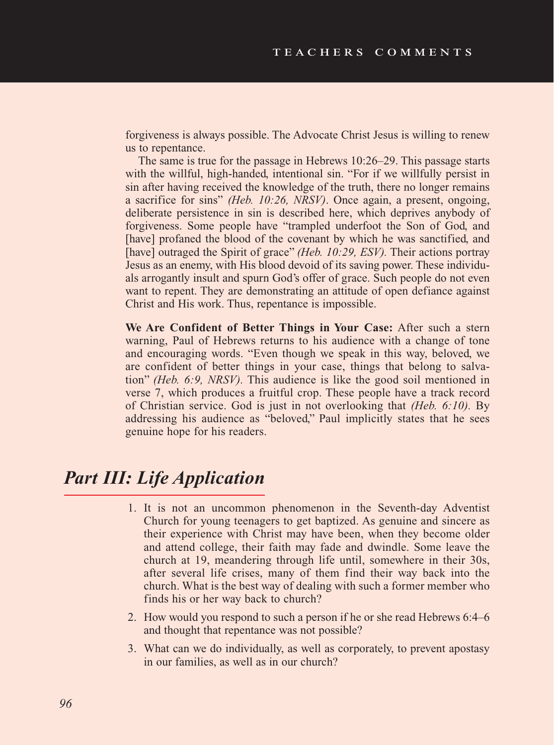forgiveness is always possible. The Advocate Christ Jesus is willing to renew us to repentance.

The same is true for the passage in Hebrews 10:26–29. This passage starts with the willful, high-handed, intentional sin. "For if we willfully persist in sin after having received the knowledge of the truth, there no longer remains a sacrifice for sins" *(Heb. 10:26, NRSV)*. Once again, a present, ongoing, deliberate persistence in sin is described here, which deprives anybody of forgiveness. Some people have "trampled underfoot the Son of God, and [have] profaned the blood of the covenant by which he was sanctified, and [have] outraged the Spirit of grace" *(Heb. 10:29, ESV).* Their actions portray Jesus as an enemy, with His blood devoid of its saving power. These individuals arrogantly insult and spurn God's offer of grace. Such people do not even want to repent. They are demonstrating an attitude of open defiance against Christ and His work. Thus, repentance is impossible.

**We Are Confident of Better Things in Your Case:** After such a stern warning, Paul of Hebrews returns to his audience with a change of tone and encouraging words. "Even though we speak in this way, beloved, we are confident of better things in your case, things that belong to salvation" *(Heb. 6:9, NRSV).* This audience is like the good soil mentioned in verse 7, which produces a fruitful crop. These people have a track record of Christian service. God is just in not overlooking that *(Heb. 6:10).* By addressing his audience as "beloved," Paul implicitly states that he sees genuine hope for his readers.

## *Part III: Life Application*

- 1. It is not an uncommon phenomenon in the Seventh-day Adventist Church for young teenagers to get baptized. As genuine and sincere as their experience with Christ may have been, when they become older and attend college, their faith may fade and dwindle. Some leave the church at 19, meandering through life until, somewhere in their 30s, after several life crises, many of them find their way back into the church. What is the best way of dealing with such a former member who finds his or her way back to church?
- 2. How would you respond to such a person if he or she read Hebrews 6:4–6 and thought that repentance was not possible?
- 3. What can we do individually, as well as corporately, to prevent apostasy in our families, as well as in our church?